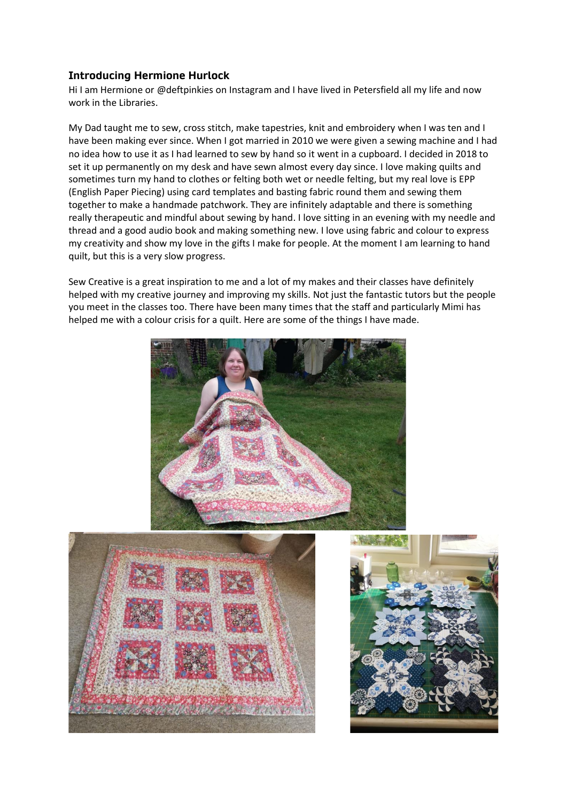## **Introducing Hermione Hurlock**

Hi I am Hermione or @deftpinkies on Instagram and I have lived in Petersfield all my life and now work in the Libraries.

My Dad taught me to sew, cross stitch, make tapestries, knit and embroidery when I was ten and I have been making ever since. When I got married in 2010 we were given a sewing machine and I had no idea how to use it as I had learned to sew by hand so it went in a cupboard. I decided in 2018 to set it up permanently on my desk and have sewn almost every day since. I love making quilts and sometimes turn my hand to clothes or felting both wet or needle felting, but my real love is EPP (English Paper Piecing) using card templates and basting fabric round them and sewing them together to make a handmade patchwork. They are infinitely adaptable and there is something really therapeutic and mindful about sewing by hand. I love sitting in an evening with my needle and thread and a good audio book and making something new. I love using fabric and colour to express my creativity and show my love in the gifts I make for people. At the moment I am learning to hand quilt, but this is a very slow progress.

Sew Creative is a great inspiration to me and a lot of my makes and their classes have definitely helped with my creative journey and improving my skills. Not just the fantastic tutors but the people you meet in the classes too. There have been many times that the staff and particularly Mimi has helped me with a colour crisis for a quilt. Here are some of the things I have made.